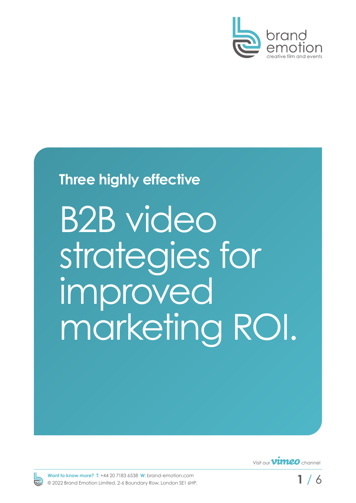

### **Three highly effective**

B2B video strategies for improved marketing ROI.





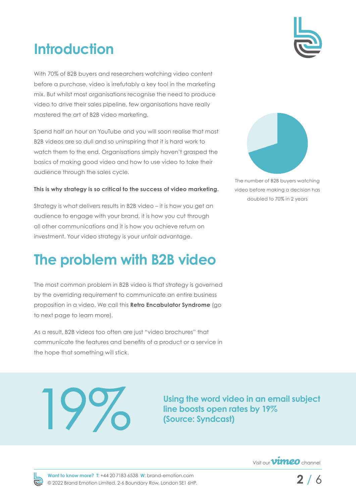# **Introduction**

With 70% of B2B buyers and researchers watching video content before a purchase, video is irrefutably a key tool in the marketing mix. But whilst most organisations recognise the need to produce video to drive their sales pipeline, few organisations have really mastered the art of B2B video marketing.

Spend half an hour on YouTube and you will soon realise that most B2B videos are so dull and so uninspiring that it is hard work to watch them to the end. Organisations simply haven't grasped the basics of making good video and how to use video to take their audience through the sales cycle.

#### **This is why strategy is so critical to the success of video marketing.**

Strategy is what delivers results in B2B video – it is how you get an audience to engage with your brand, it is how you cut through all other communications and it is how you achieve return on investment. Your video strategy is your unfair advantage.

## **The problem with B2B video**

The most common problem in B2B video is that strategy is governed by the overriding requirement to communicate an entire business proposition in a video. We call this **Retro Encabulator Syndrome** (go to next page to learn more).

As a result, B2B videos too often are just "video brochures" that communicate the features and benefits of a product or a service in the hope that something will stick.

Using the word video in an email subject<br>line boosts open rates by 19%<br>(Source: Syndcast) **line boosts open rates by 19% (Source: Syndcast)**



The number of B2B buyers watching video before making a decision has doubled to 70% in 2 years





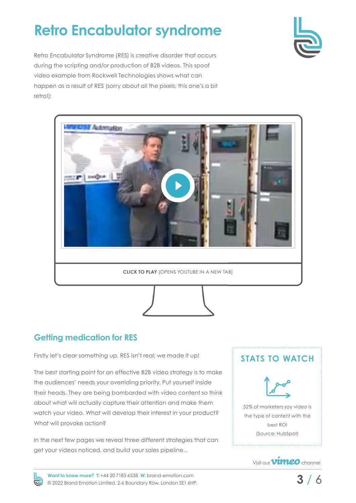# **Retro Encabulator syndrome**



Retro Encabulator Syndrome (RES) is creative disorder that occurs during the scripting and/or production of B2B videos. This spoof video example from Rockwell Technologies shows what can happen as a result of RES (sorry about all the pixels; this one's a bit retro!):



### **Getting medication for RES**

Firstly let's clear something up. RES isn't real; we made it up!

The best starting point for an effective B2B video strategy is to make the audiences' needs your overriding priority. Put yourself inside their heads. They are being bombarded with video content so think about what will actually capture their attention and make them watch your video. What will develop their interest in your product? What will provoke action?

In the next few pages we reveal three different strategies that can get your videos noticed, and build your sales pipeline...

### **STATS TO WATCH**



52% of marketers say video is the type of content with the best ROI (Source: HubSpot)



**Want to know more? T**: [+44 20 7183 6538](tel:+442071836538) **W**: [brand-emotion.com](https://brand-emotion.com) © 2022 Brand Emotion Limited. 2-6 Boundary Row, London SE1 6HP.

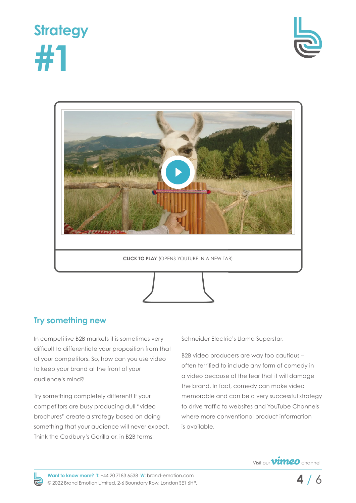





#### **Try something new**

In competitive B2B markets it is sometimes very difficult to differentiate your proposition from that of your competitors. So, how can you use video to keep your brand at the front of your audience's mind?

Try something completely different! If your competitors are busy producing dull "video brochures" create a strategy based on doing something that your audience will never expect. Think the Cadbury's Gorilla or, in B2B terms,

Schneider Electric's Llama Superstar.

B2B video producers are way too cautious – often terrified to include any form of comedy in a video because of the fear that it will damage the brand. In fact, comedy can make video memorable and can be a very successful strategy to drive traffic to websites and YouTube Channels where more conventional product information is available.



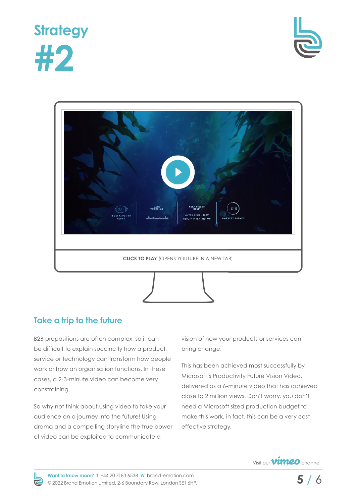





#### **Take a trip to the future**

B2B propositions are often complex, so it can be difficult to explain succinctly how a product, service or technology can transform how people work or how an organisation functions. In these cases, a 2-3-minute video can become very constraining.

So why not think about using video to take your audience on a journey into the future! Using drama and a compelling storyline the true power of video can be exploited to communicate a

vision of how your products or services can bring change.

This has been achieved most successfully by Microsoft's Productivity Future Vision Video, delivered as a 6-minute video that has achieved close to 2 million views. Don't worry, you don't need a Microsoft sized production budget to make this work, in fact, this can be a very costeffective strategy.